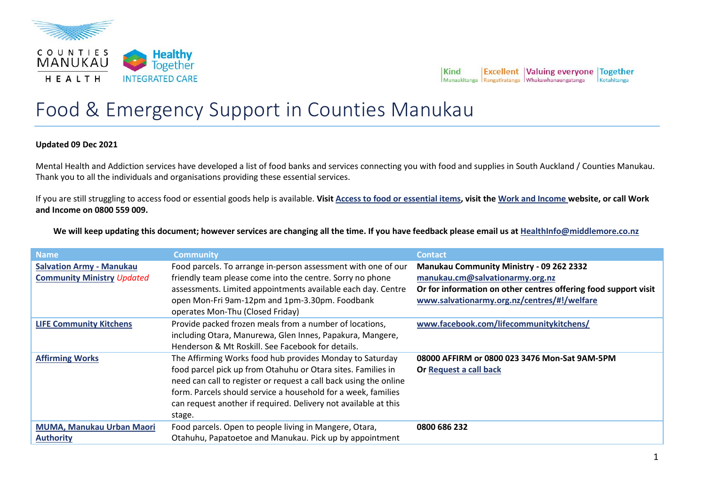

## Food & Emergency Support in Counties Manukau

## **Updated 09 Dec 2021**

Mental Health and Addiction services have developed a list of food banks and services connecting you with food and supplies in South Auckland / Counties Manukau. Thank you to all the individuals and organisations providing these essential services.

If you are still struggling to access food or essential goods help is available. **Visit Access to food or essential items, visit the Work and Income website, or call Work and Income on 0800 559 009.**

**We will keep updating this document; however services are changing all the time. If you have feedback please email us at HealthInfo@middlemore.co.nz**

| <b>Name</b>                                                          | <b>Community</b>                                                                                                                                                                                                                                                                                                                            | <b>Contact</b>                                                                                                                                                                                |
|----------------------------------------------------------------------|---------------------------------------------------------------------------------------------------------------------------------------------------------------------------------------------------------------------------------------------------------------------------------------------------------------------------------------------|-----------------------------------------------------------------------------------------------------------------------------------------------------------------------------------------------|
| <b>Salvation Army - Manukau</b><br><b>Community Ministry Updated</b> | Food parcels. To arrange in-person assessment with one of our<br>friendly team please come into the centre. Sorry no phone<br>assessments. Limited appointments available each day. Centre<br>open Mon-Fri 9am-12pm and 1pm-3.30pm. Foodbank<br>operates Mon-Thu (Closed Friday)                                                            | Manukau Community Ministry - 09 262 2332<br>manukau.cm@salvationarmy.org.nz<br>Or for information on other centres offering food support visit<br>www.salvationarmy.org.nz/centres/#!/welfare |
| <b>LIFE Community Kitchens</b>                                       | Provide packed frozen meals from a number of locations,<br>including Otara, Manurewa, Glen Innes, Papakura, Mangere,<br>Henderson & Mt Roskill. See Facebook for details.                                                                                                                                                                   | www.facebook.com/lifecommunitykitchens/                                                                                                                                                       |
| <b>Affirming Works</b>                                               | The Affirming Works food hub provides Monday to Saturday<br>food parcel pick up from Otahuhu or Otara sites. Families in<br>need can call to register or request a call back using the online<br>form. Parcels should service a household for a week, families<br>can request another if required. Delivery not available at this<br>stage. | 08000 AFFIRM or 0800 023 3476 Mon-Sat 9AM-5PM<br>Or Request a call back                                                                                                                       |
| MUMA, Manukau Urban Maori<br><b>Authority</b>                        | Food parcels. Open to people living in Mangere, Otara,<br>Otahuhu, Papatoetoe and Manukau. Pick up by appointment                                                                                                                                                                                                                           | 0800 686 232                                                                                                                                                                                  |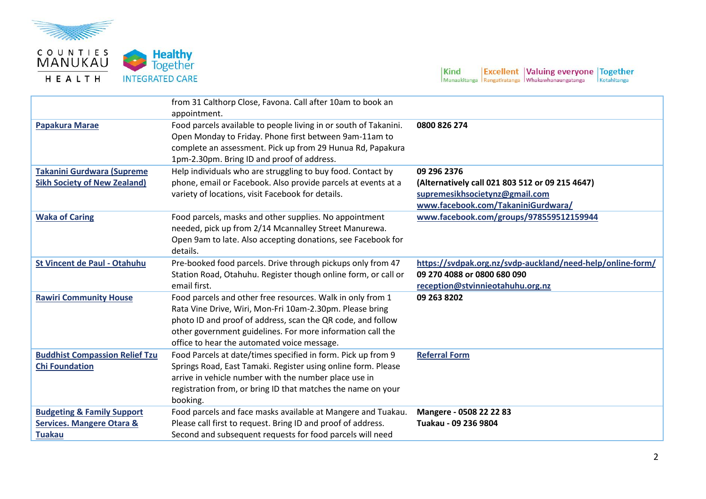

HEALTH



 $\begin{array}{|l|l|} \hline \textbf{Kind} & \textbf{Excellent} & \textbf{Valuing everyone} & \textbf{Together} \\ \hline \textbf{Manaaktianga} & \textbf{Rangatiratanga} & \textbf{Whakawhanaungatanga} & \textbf{Kotahitanga} \\ \hline \end{array}$ 

|                                                                                                | from 31 Calthorp Close, Favona. Call after 10am to book an<br>appointment.                                                                                                                                                                                                                         |                                                                                                                                        |
|------------------------------------------------------------------------------------------------|----------------------------------------------------------------------------------------------------------------------------------------------------------------------------------------------------------------------------------------------------------------------------------------------------|----------------------------------------------------------------------------------------------------------------------------------------|
| <b>Papakura Marae</b>                                                                          | Food parcels available to people living in or south of Takanini.<br>Open Monday to Friday. Phone first between 9am-11am to<br>complete an assessment. Pick up from 29 Hunua Rd, Papakura<br>1pm-2.30pm. Bring ID and proof of address.                                                             | 0800 826 274                                                                                                                           |
| <b>Takanini Gurdwara (Supreme</b><br><b>Sikh Society of New Zealand)</b>                       | Help individuals who are struggling to buy food. Contact by<br>phone, email or Facebook. Also provide parcels at events at a<br>variety of locations, visit Facebook for details.                                                                                                                  | 09 296 2376<br>(Alternatively call 021 803 512 or 09 215 4647)<br>supremesikhsocietynz@gmail.com<br>www.facebook.com/TakaniniGurdwara/ |
| <b>Waka of Caring</b>                                                                          | Food parcels, masks and other supplies. No appointment<br>needed, pick up from 2/14 Mcannalley Street Manurewa.<br>Open 9am to late. Also accepting donations, see Facebook for<br>details.                                                                                                        | www.facebook.com/groups/978559512159944                                                                                                |
| <b>St Vincent de Paul - Otahuhu</b>                                                            | Pre-booked food parcels. Drive through pickups only from 47<br>Station Road, Otahuhu. Register though online form, or call or<br>email first.                                                                                                                                                      | https://svdpak.org.nz/svdp-auckland/need-help/online-form/<br>09 270 4088 or 0800 680 090<br>reception@stvinnieotahuhu.org.nz          |
| <b>Rawiri Community House</b>                                                                  | Food parcels and other free resources. Walk in only from 1<br>Rata Vine Drive, Wiri, Mon-Fri 10am-2.30pm. Please bring<br>photo ID and proof of address, scan the QR code, and follow<br>other government guidelines. For more information call the<br>office to hear the automated voice message. | 09 263 8202                                                                                                                            |
| <b>Buddhist Compassion Relief Tzu</b><br><b>Chi Foundation</b>                                 | Food Parcels at date/times specified in form. Pick up from 9<br>Springs Road, East Tamaki. Register using online form. Please<br>arrive in vehicle number with the number place use in<br>registration from, or bring ID that matches the name on your<br>booking.                                 | <b>Referral Form</b>                                                                                                                   |
| <b>Budgeting &amp; Family Support</b><br><b>Services. Mangere Otara &amp;</b><br><b>Tuakau</b> | Food parcels and face masks available at Mangere and Tuakau.<br>Please call first to request. Bring ID and proof of address.<br>Second and subsequent requests for food parcels will need                                                                                                          | Mangere - 0508 22 22 83<br>Tuakau - 09 236 9804                                                                                        |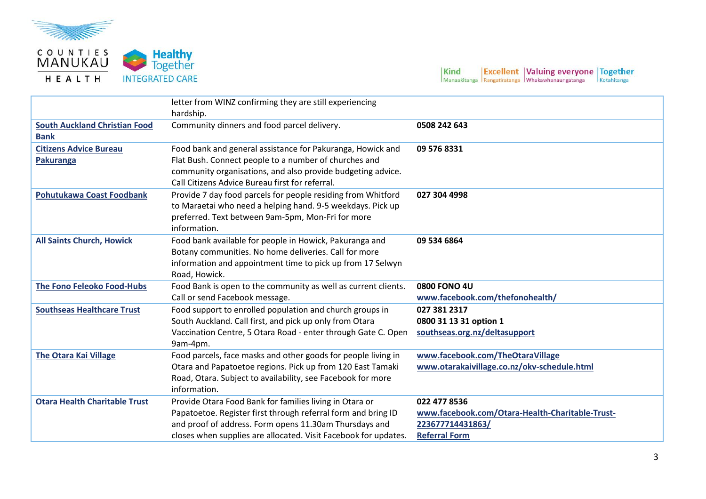

**Healthy**<br>Together **INTEGRATED CARE** 

 $\begin{array}{|l|l|} \hline \textbf{Kind} & \textbf{Excellent} & \textbf{Valuing everyone} & \textbf{Together} \\ \hline \textbf{Manaaktianga} & \textbf{Rangatiratanga} & \textbf{Whakawhanaungatanga} & \textbf{Kotahitanga} \\ \hline \end{array}$ 

|                                                     | letter from WINZ confirming they are still experiencing<br>hardship.                                                                                                                                                                                  |                                                                                                             |
|-----------------------------------------------------|-------------------------------------------------------------------------------------------------------------------------------------------------------------------------------------------------------------------------------------------------------|-------------------------------------------------------------------------------------------------------------|
| <b>South Auckland Christian Food</b><br><b>Bank</b> | Community dinners and food parcel delivery.                                                                                                                                                                                                           | 0508 242 643                                                                                                |
| <b>Citizens Advice Bureau</b><br>Pakuranga          | Food bank and general assistance for Pakuranga, Howick and<br>Flat Bush. Connect people to a number of churches and<br>community organisations, and also provide budgeting advice.<br>Call Citizens Advice Bureau first for referral.                 | 09 576 8331                                                                                                 |
| <b>Pohutukawa Coast Foodbank</b>                    | Provide 7 day food parcels for people residing from Whitford<br>to Maraetai who need a helping hand. 9-5 weekdays. Pick up<br>preferred. Text between 9am-5pm, Mon-Fri for more<br>information.                                                       | 027 304 4998                                                                                                |
| <b>All Saints Church, Howick</b>                    | Food bank available for people in Howick, Pakuranga and<br>Botany communities. No home deliveries. Call for more<br>information and appointment time to pick up from 17 Selwyn<br>Road, Howick.                                                       | 09 534 6864                                                                                                 |
| <b>The Fono Feleoko Food-Hubs</b>                   | Food Bank is open to the community as well as current clients.<br>Call or send Facebook message.                                                                                                                                                      | <b>0800 FONO 4U</b><br>www.facebook.com/thefonohealth/                                                      |
| <b>Southseas Healthcare Trust</b>                   | Food support to enrolled population and church groups in<br>South Auckland. Call first, and pick up only from Otara<br>Vaccination Centre, 5 Otara Road - enter through Gate C. Open<br>9am-4pm.                                                      | 027 381 2317<br>0800 31 13 31 option 1<br>southseas.org.nz/deltasupport                                     |
| <b>The Otara Kai Village</b>                        | Food parcels, face masks and other goods for people living in<br>Otara and Papatoetoe regions. Pick up from 120 East Tamaki<br>Road, Otara. Subject to availability, see Facebook for more<br>information.                                            | www.facebook.com/TheOtaraVillage<br>www.otarakaivillage.co.nz/okv-schedule.html                             |
| <b>Otara Health Charitable Trust</b>                | Provide Otara Food Bank for families living in Otara or<br>Papatoetoe. Register first through referral form and bring ID<br>and proof of address. Form opens 11.30am Thursdays and<br>closes when supplies are allocated. Visit Facebook for updates. | 022 477 8536<br>www.facebook.com/Otara-Health-Charitable-Trust-<br>223677714431863/<br><b>Referral Form</b> |